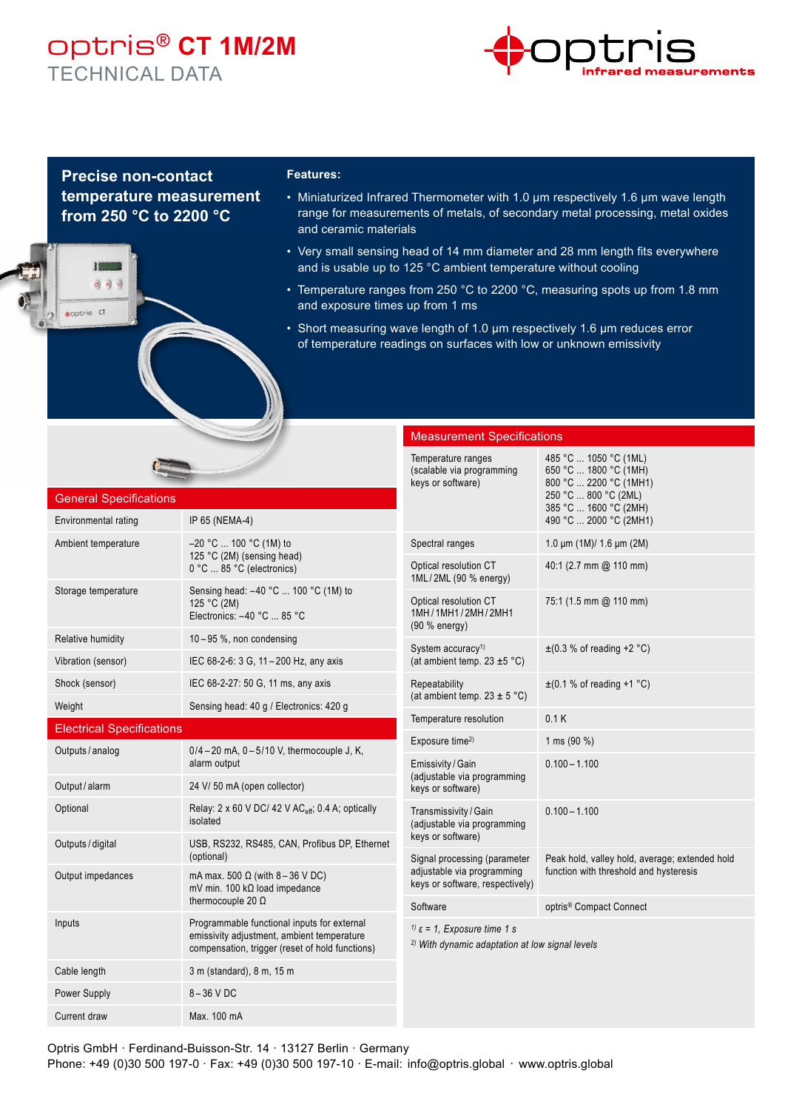## optris® **CT 1M/2M** TECHNICAL DATA



### **Precise non-contact temperature measurement from 250 °C to 2200 °C**

 $01N$ 

coptris CT

#### **Features:**

- Miniaturized Infrared Thermometer with 1.0 μm respectively 1.6 μm wave length range for measurements of metals, of secondary metal processing, metal oxides and ceramic materials
- Very small sensing head of 14 mm diameter and 28 mm length fits everywhere and is usable up to 125 °C ambient temperature without cooling
- Temperature ranges from 250 °C to 2200 °C, measuring spots up from 1.8 mm and exposure times up from 1 ms
- Short measuring wave length of 1.0 μm respectively 1.6 μm reduces error of temperature readings on surfaces with low or unknown emissivity

| <b>General Specifications</b><br>Environmental rating<br>IP 65 (NEMA-4)                                                                 |                                                                                                                                              | <b>Measurement Specifications</b>                                                                                |                                                                                                                                                     |
|-----------------------------------------------------------------------------------------------------------------------------------------|----------------------------------------------------------------------------------------------------------------------------------------------|------------------------------------------------------------------------------------------------------------------|-----------------------------------------------------------------------------------------------------------------------------------------------------|
|                                                                                                                                         |                                                                                                                                              | Temperature ranges<br>(scalable via programming<br>keys or software)                                             | 485 °C  1050 °C (1ML)<br>650 °C  1800 °C (1MH)<br>800 °C  2200 °C (1MH1)<br>250 °C  800 °C (2ML)<br>385 °C  1600 °C (2MH)<br>490 °C  2000 °C (2MH1) |
| Ambient temperature                                                                                                                     | $-20$ °C  100 °C (1M) to<br>125 °C (2M) (sensing head)<br>0 °C  85 °C (electronics)                                                          | Spectral ranges                                                                                                  | 1.0 $\mu$ m (1M)/ 1.6 $\mu$ m (2M)                                                                                                                  |
|                                                                                                                                         |                                                                                                                                              | Optical resolution CT<br>1ML/2ML (90 % energy)                                                                   | 40:1 (2.7 mm @ 110 mm)                                                                                                                              |
| Storage temperature                                                                                                                     | Sensing head: -40 °C  100 °C (1M) to<br>125 °C (2M)<br>Electronics: -40 °C  85 °C                                                            | Optical resolution CT<br>1MH/1MH1/2MH/2MH1<br>(90 % energy)                                                      | 75:1 (1.5 mm @ 110 mm)                                                                                                                              |
| Relative humidity                                                                                                                       | $10-95$ %, non condensing                                                                                                                    | System accuracy <sup>1)</sup><br>(at ambient temp. 23 $\pm$ 5 °C)                                                | $\pm$ (0.3 % of reading +2 °C)                                                                                                                      |
| Vibration (sensor)                                                                                                                      | IEC 68-2-6: 3 G, 11 - 200 Hz, any axis                                                                                                       |                                                                                                                  |                                                                                                                                                     |
| Shock (sensor)                                                                                                                          | IEC 68-2-27: 50 G, 11 ms, any axis                                                                                                           | Repeatability<br>(at ambient temp. $23 \pm 5$ °C)<br>Temperature resolution                                      | $\pm$ (0.1 % of reading +1 °C)                                                                                                                      |
| Weight                                                                                                                                  | Sensing head: 40 g / Electronics: 420 g                                                                                                      |                                                                                                                  | 0.1K                                                                                                                                                |
| <b>Electrical Specifications</b>                                                                                                        |                                                                                                                                              |                                                                                                                  |                                                                                                                                                     |
| Outputs / analog                                                                                                                        | $0/4 - 20$ mA, $0 - 5/10$ V, thermocouple J, K,<br>alarm output                                                                              | Exposure time <sup>2)</sup><br>Emissivity / Gain<br>(adjustable via programming<br>keys or software)             | 1 ms (90 %)<br>$0.100 - 1.100$                                                                                                                      |
| Output / alarm                                                                                                                          | 24 V/ 50 mA (open collector)                                                                                                                 |                                                                                                                  |                                                                                                                                                     |
| Optional                                                                                                                                | Relay: 2 x 60 V DC/ 42 V AC <sub>eff</sub> , 0.4 A; optically<br>isolated                                                                    | Transmissivity / Gain<br>(adjustable via programming<br>keys or software)                                        | $0.100 - 1.100$                                                                                                                                     |
| Outputs / digital                                                                                                                       | USB, RS232, RS485, CAN, Profibus DP, Ethernet                                                                                                |                                                                                                                  |                                                                                                                                                     |
| (optional)<br>mA max. 500 $\Omega$ (with 8 - 36 V DC)<br>Output impedances<br>mV min. 100 kΩ load impedance<br>thermocouple 20 $\Omega$ | Signal processing (parameter<br>adjustable via programming<br>keys or software, respectively)                                                | Peak hold, valley hold, average; extended hold<br>function with threshold and hysteresis                         |                                                                                                                                                     |
|                                                                                                                                         |                                                                                                                                              | Software                                                                                                         | optris <sup>®</sup> Compact Connect                                                                                                                 |
| Inputs                                                                                                                                  | Programmable functional inputs for external<br>emissivity adjustment, ambient temperature<br>compensation, trigger (reset of hold functions) | <sup>1)</sup> $\varepsilon$ = 1, Exposure time 1 s<br><sup>2)</sup> With dynamic adaptation at low signal levels |                                                                                                                                                     |
| Cable length                                                                                                                            | 3 m (standard), 8 m, 15 m                                                                                                                    |                                                                                                                  |                                                                                                                                                     |
| Power Supply                                                                                                                            | $8-36$ V DC                                                                                                                                  |                                                                                                                  |                                                                                                                                                     |
| Current draw                                                                                                                            | Max. 100 mA                                                                                                                                  |                                                                                                                  |                                                                                                                                                     |

Optris GmbH · Ferdinand-Buisson-Str. 14 · 13127 Berlin · Germany Phone: +49 (0)30 500 197-0 · Fax: +49 (0)30 500 197-10 · E-mail: info@optris.global · www.optris.global